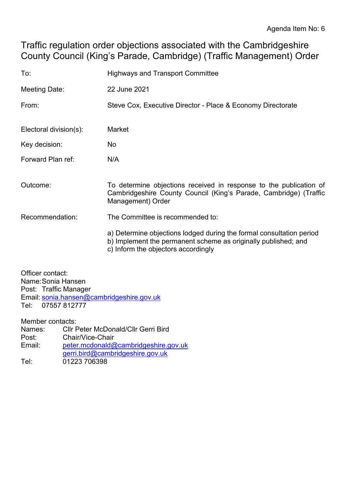Traffic regulation order objections associated with the Cambridgeshire County Council (King's Parade, Cambridge) (Traffic Management) Order

| To:                    | <b>Highways and Transport Committee</b>                                                                                                                                       |  |
|------------------------|-------------------------------------------------------------------------------------------------------------------------------------------------------------------------------|--|
| Meeting Date:          | 22 June 2021                                                                                                                                                                  |  |
| From:                  | Steve Cox, Executive Director - Place & Economy Directorate                                                                                                                   |  |
| Electoral division(s): | Market                                                                                                                                                                        |  |
| Key decision:          | No.                                                                                                                                                                           |  |
| Forward Plan ref:      | N/A                                                                                                                                                                           |  |
| Outcome:               | To determine objections received in response to the publication of<br>Cambridgeshire County Council (King's Parade, Cambridge) (Traffic<br>Management) Order                  |  |
| Recommendation:        | The Committee is recommended to:                                                                                                                                              |  |
|                        | a) Determine objections lodged during the formal consultation period<br>b) Implement the permanent scheme as originally published; and<br>c) Inform the objectors accordingly |  |

Officer contact: Name:Sonia Hansen Post: Traffic Manager Email: [sonia.hansen@cambridgeshire.gov.uk](mailto:sonia.hansen@cambridgeshire.gov.uk) Tel: 07557 812777

Member contacts:

| <b>CIIr Peter McDonald/CIIr Gerri Bird</b> |
|--------------------------------------------|
| Chair/Vice-Chair                           |
| peter.mcdonald@cambridgeshire.gov.uk       |
| gerri.bird@cambridgeshire.gov.uk           |
| 01223 706398                               |
|                                            |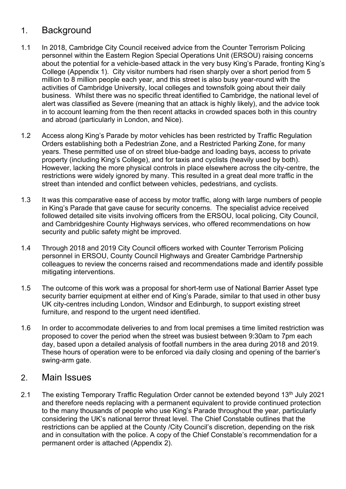## 1. Background

- 1.1 In 2018, Cambridge City Council received advice from the Counter Terrorism Policing personnel within the Eastern Region Special Operations Unit (ERSOU) raising concerns about the potential for a vehicle-based attack in the very busy King's Parade, fronting King's College (Appendix 1). City visitor numbers had risen sharply over a short period from 5 million to 8 million people each year, and this street is also busy year-round with the activities of Cambridge University, local colleges and townsfolk going about their daily business. Whilst there was no specific threat identified to Cambridge, the national level of alert was classified as Severe (meaning that an attack is highly likely), and the advice took in to account learning from the then recent attacks in crowded spaces both in this country and abroad (particularly in London, and Nice).
- 1.2 Access along King's Parade by motor vehicles has been restricted by Traffic Regulation Orders establishing both a Pedestrian Zone, and a Restricted Parking Zone, for many years. These permitted use of on street blue-badge and loading bays, access to private property (including King's College), and for taxis and cyclists (heavily used by both). However, lacking the more physical controls in place elsewhere across the city-centre, the restrictions were widely ignored by many. This resulted in a great deal more traffic in the street than intended and conflict between vehicles, pedestrians, and cyclists.
- 1.3 It was this comparative ease of access by motor traffic, along with large numbers of people in King's Parade that gave cause for security concerns. The specialist advice received followed detailed site visits involving officers from the ERSOU, local policing, City Council, and Cambridgeshire County Highways services, who offered recommendations on how security and public safety might be improved.
- 1.4 Through 2018 and 2019 City Council officers worked with Counter Terrorism Policing personnel in ERSOU, County Council Highways and Greater Cambridge Partnership colleagues to review the concerns raised and recommendations made and identify possible mitigating interventions.
- 1.5 The outcome of this work was a proposal for short-term use of National Barrier Asset type security barrier equipment at either end of King's Parade, similar to that used in other busy UK city-centres including London, Windsor and Edinburgh, to support existing street furniture, and respond to the urgent need identified.
- 1.6 In order to accommodate deliveries to and from local premises a time limited restriction was proposed to cover the period when the street was busiest between 9:30am to 7pm each day, based upon a detailed analysis of footfall numbers in the area during 2018 and 2019. These hours of operation were to be enforced via daily closing and opening of the barrier's swing-arm gate.

### 2. Main Issues

2.1 The existing Temporary Traffic Regulation Order cannot be extended beyond 13<sup>th</sup> July 2021 and therefore needs replacing with a permanent equivalent to provide continued protection to the many thousands of people who use King's Parade throughout the year, particularly considering the UK's national terror threat level. The Chief Constable outlines that the restrictions can be applied at the County /City Council's discretion, depending on the risk and in consultation with the police. A copy of the Chief Constable's recommendation for a permanent order is attached (Appendix 2).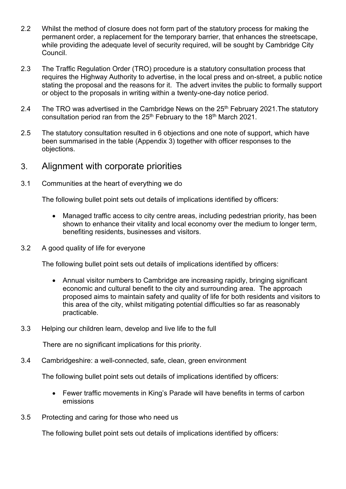- 2.2 Whilst the method of closure does not form part of the statutory process for making the permanent order, a replacement for the temporary barrier, that enhances the streetscape, while providing the adequate level of security required, will be sought by Cambridge City Council.
- 2.3 The Traffic Regulation Order (TRO) procedure is a statutory consultation process that requires the Highway Authority to advertise, in the local press and on-street, a public notice stating the proposal and the reasons for it. The advert invites the public to formally support or object to the proposals in writing within a twenty-one-day notice period.
- 2.4 The TRO was advertised in the Cambridge News on the  $25<sup>th</sup>$  February 2021. The statutory consultation period ran from the 25<sup>th</sup> February to the 18<sup>th</sup> March 2021.
- 2.5 The statutory consultation resulted in 6 objections and one note of support, which have been summarised in the table (Appendix 3) together with officer responses to the objections.
- 3. Alignment with corporate priorities
- 3.1 Communities at the heart of everything we do

The following bullet point sets out details of implications identified by officers:

- Managed traffic access to city centre areas, including pedestrian priority, has been shown to enhance their vitality and local economy over the medium to longer term, benefiting residents, businesses and visitors.
- 3.2 A good quality of life for everyone

The following bullet point sets out details of implications identified by officers:

- Annual visitor numbers to Cambridge are increasing rapidly, bringing significant economic and cultural benefit to the city and surrounding area. The approach proposed aims to maintain safety and quality of life for both residents and visitors to this area of the city, whilst mitigating potential difficulties so far as reasonably practicable.
- 3.3 Helping our children learn, develop and live life to the full

There are no significant implications for this priority.

3.4 Cambridgeshire: a well-connected, safe, clean, green environment

The following bullet point sets out details of implications identified by officers:

- Fewer traffic movements in King's Parade will have benefits in terms of carbon emissions
- 3.5 Protecting and caring for those who need us

The following bullet point sets out details of implications identified by officers: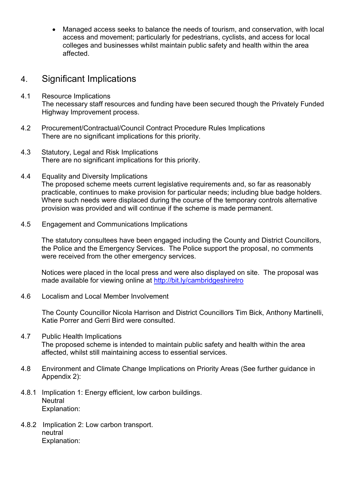• Managed access seeks to balance the needs of tourism, and conservation, with local access and movement; particularly for pedestrians, cyclists, and access for local colleges and businesses whilst maintain public safety and health within the area affected.

## 4. Significant Implications

- 4.1 Resource Implications The necessary staff resources and funding have been secured though the Privately Funded Highway Improvement process.
- 4.2 Procurement/Contractual/Council Contract Procedure Rules Implications There are no significant implications for this priority.
- 4.3 Statutory, Legal and Risk Implications There are no significant implications for this priority.
- 4.4 Equality and Diversity Implications The proposed scheme meets current legislative requirements and, so far as reasonably practicable, continues to make provision for particular needs; including blue badge holders. Where such needs were displaced during the course of the temporary controls alternative provision was provided and will continue if the scheme is made permanent.
- 4.5 Engagement and Communications Implications

The statutory consultees have been engaged including the County and District Councillors, the Police and the Emergency Services. The Police support the proposal, no comments were received from the other emergency services.

Notices were placed in the local press and were also displayed on site. The proposal was made available for viewing online at<http://bit.ly/cambridgeshiretro>

4.6 Localism and Local Member Involvement

The County Councillor Nicola Harrison and District Councillors Tim Bick, Anthony Martinelli, Katie Porrer and Gerri Bird were consulted.

- 4.7 Public Health Implications The proposed scheme is intended to maintain public safety and health within the area affected, whilst still maintaining access to essential services.
- 4.8 Environment and Climate Change Implications on Priority Areas (See further guidance in Appendix 2):
- 4.8.1 Implication 1: Energy efficient, low carbon buildings. **Neutral** Explanation:
- 4.8.2 Implication 2: Low carbon transport. neutral Explanation: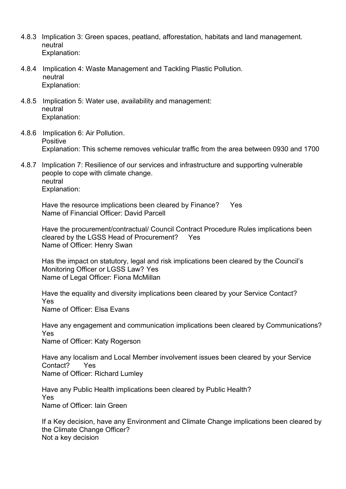- 4.8.3 Implication 3: Green spaces, peatland, afforestation, habitats and land management. neutral Explanation:
- 4.8.4 Implication 4: Waste Management and Tackling Plastic Pollution. neutral Explanation:
- 4.8.5 Implication 5: Water use, availability and management: neutral Explanation:
- 4.8.6 Implication 6: Air Pollution. Positive Explanation: This scheme removes vehicular traffic from the area between 0930 and 1700
- 4.8.7 Implication 7: Resilience of our services and infrastructure and supporting vulnerable people to cope with climate change. neutral Explanation:

Have the resource implications been cleared by Finance? Yes Name of Financial Officer: David Parcell

Have the procurement/contractual/ Council Contract Procedure Rules implications been cleared by the LGSS Head of Procurement? Yes Name of Officer: Henry Swan

Has the impact on statutory, legal and risk implications been cleared by the Council's Monitoring Officer or LGSS Law? Yes Name of Legal Officer: Fiona McMillan

Have the equality and diversity implications been cleared by your Service Contact? Yes Name of Officer: Elsa Evans

Have any engagement and communication implications been cleared by Communications? Yes

Name of Officer: Katy Rogerson

Have any localism and Local Member involvement issues been cleared by your Service Contact? Yes Name of Officer: Richard Lumley

Have any Public Health implications been cleared by Public Health? Yes Name of Officer: Iain Green

If a Key decision, have any Environment and Climate Change implications been cleared by the Climate Change Officer? Not a key decision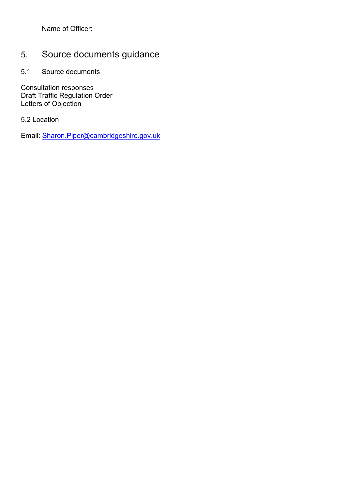Name of Officer:

# 5. Source documents guidance

5.1 Source documents

Consultation responses Draft Traffic Regulation Order Letters of Objection

5.2 Location

Email: [Sharon.Piper@cambridgeshire.gov.uk](mailto:Sharon.Piper@cambridgeshire.gov.uk)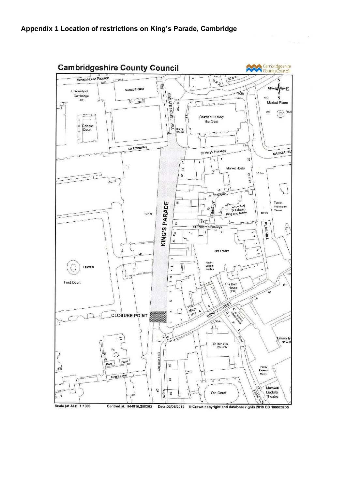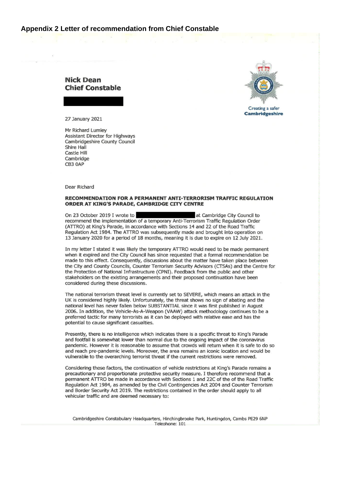#### Appendix 2 Letter of recommendation from Chief Constable





**Creating a safer Cambridgeshire** 

27 January 2021

Mr Richard Lumley Assistant Director for Highways Cambridgeshire County Council Shire Hall Castle Hill Cambridge CB3 0AP

Dear Richard

#### RECOMMENDATION FOR A PERMANENT ANTI-TERRORISM TRAFFIC REGULATION ORDER AT KING'S PARADE, CAMBRIDGE CITY CENTRE

at Cambridge City Council to On 23 October 2019 I wrote to recommend the implementation of a temporary Anti-Terrorism Traffic Regulation Order (ATTRO) at King's Parade, in accordance with Sections 14 and 22 of the Road Traffic Regulation Act 1984. The ATTRO was subsequently made and brought into operation on 13 January 2020 for a period of 18 months, meaning it is due to expire on 12 July 2021.

In my letter I stated it was likely the temporary ATTRO would need to be made permanent when it expired and the City Council has since requested that a formal recommendation be made to this effect. Consequently, discussions about the matter have taken place between the City and County Councils, Counter Terrorism Security Advisors (CTSAs) and the Centre for the Protection of National Infrastructure (CPNI). Feedback from the public and other stakeholders on the existing arrangements and their proposed continuation have been considered during these discussions.

The national terrorism threat level is currently set to SEVERE, which means an attack in the UK is considered highly likely. Unfortunately, the threat shows no sign of abating and the national level has never fallen below SUBSTANTIAL since it was first published in August 2006. In addition, the Vehicle-As-A-Weapon (VAAW) attack methodology continues to be a preferred tactic for many terrorists as it can be deployed with relative ease and has the potential to cause significant casualties.

Presently, there is no intelligence which indicates there is a specific threat to King's Parade and footfall is somewhat lower than normal due to the ongoing impact of the coronavirus pandemic. However it is reasonable to assume that crowds will return when it is safe to do so and reach pre-pandemic levels. Moreover, the area remains an iconic location and would be vulnerable to the overarching terrorist threat if the current restrictions were removed.

Considering these factors, the continuation of vehicle restrictions at King's Parade remains a precautionary and proportionate protective security measure. I therefore recommend that a permanent ATTRO be made in accordance with Sections 1 and 22C of the of the Road Traffic Regulation Act 1984, as amended by the Civil Contingencies Act 2004 and Counter Terrorism and Border Security Act 2019. The restrictions contained in the order should apply to all vehicular traffic and are deemed necessary to: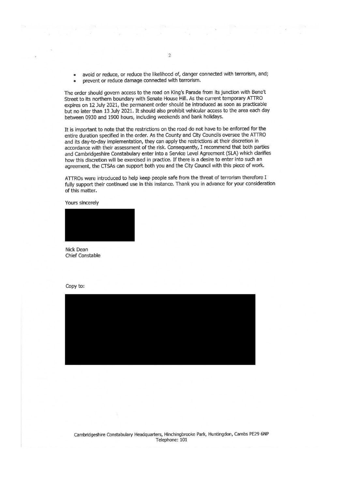avoid or reduce, or reduce the likelihood of, danger connected with terrorism, and; prevent or reduce damage connected with terrorism.  $\bullet$ 

The order should govern access to the road on King's Parade from its junction with Bene't Street to its northern boundary with Senate House Hill. As the current temporary ATTRO expires on 12 July 2021, the permanent order should be introduced as soon as practicable but no later than 13 July 2021. It should also prohibit vehicular access to the area each day between 0930 and 1900 hours, including weekends and bank holidays.

It is important to note that the restrictions on the road do not have to be enforced for the entire duration specified in the order. As the County and City Councils oversee the ATTRO and its day-to-day implementation, they can apply the restrictions at their discretion in accordance with their assessment of the risk. Consequently, I recommend that both parties and Cambridgeshire Constabulary enter into a Service Level Agreement (SLA) which clarifies how this discretion will be exercised in practice. If there is a desire to enter into such an agreement, the CTSAs can support both you and the City Council with this piece of work.

ATTROs were introduced to help keep people safe from the threat of terrorism therefore I fully support their continued use in this instance. Thank you in advance for your consideration of this matter.

Yours sincerely



Nick Dean **Chief Constable** 



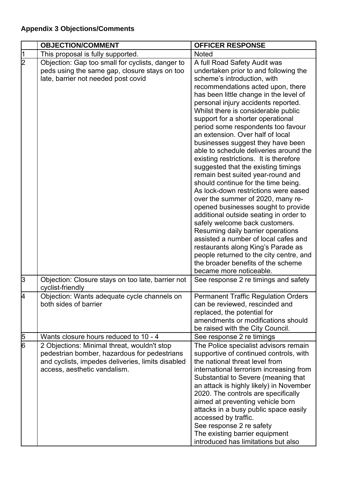## **Appendix 3 Objections/Comments**

|                | <b>OBJECTION/COMMENT</b>                                                                                                                                                         | <b>OFFICER RESPONSE</b>                                                                                                                                                                                                                                                                                                                                                                                                                                                                                                                                                                                                                                                                                                                                                                                                                                                                                                                                                                                                                                     |
|----------------|----------------------------------------------------------------------------------------------------------------------------------------------------------------------------------|-------------------------------------------------------------------------------------------------------------------------------------------------------------------------------------------------------------------------------------------------------------------------------------------------------------------------------------------------------------------------------------------------------------------------------------------------------------------------------------------------------------------------------------------------------------------------------------------------------------------------------------------------------------------------------------------------------------------------------------------------------------------------------------------------------------------------------------------------------------------------------------------------------------------------------------------------------------------------------------------------------------------------------------------------------------|
| $\sqrt{1}$     | This proposal is fully supported.                                                                                                                                                | <b>Noted</b>                                                                                                                                                                                                                                                                                                                                                                                                                                                                                                                                                                                                                                                                                                                                                                                                                                                                                                                                                                                                                                                |
| $\overline{2}$ | Objection: Gap too small for cyclists, danger to<br>peds using the same gap, closure stays on too<br>late, barrier not needed post covid                                         | A full Road Safety Audit was<br>undertaken prior to and following the<br>scheme's introduction, with<br>recommendations acted upon, there<br>has been little change in the level of<br>personal injury accidents reported.<br>Whilst there is considerable public<br>support for a shorter operational<br>period some respondents too favour<br>an extension. Over half of local<br>businesses suggest they have been<br>able to schedule deliveries around the<br>existing restrictions. It is therefore<br>suggested that the existing timings<br>remain best suited year-round and<br>should continue for the time being.<br>As lock-down restrictions were eased<br>over the summer of 2020, many re-<br>opened businesses sought to provide<br>additional outside seating in order to<br>safely welcome back customers.<br>Resuming daily barrier operations<br>assisted a number of local cafes and<br>restaurants along King's Parade as<br>people returned to the city centre, and<br>the broader benefits of the scheme<br>became more noticeable. |
| 3              | Objection: Closure stays on too late, barrier not<br>cyclist-friendly                                                                                                            | See response 2 re timings and safety                                                                                                                                                                                                                                                                                                                                                                                                                                                                                                                                                                                                                                                                                                                                                                                                                                                                                                                                                                                                                        |
| <b>4</b>       | Objection: Wants adequate cycle channels on<br>both sides of barrier                                                                                                             | <b>Permanent Traffic Regulation Orders</b><br>can be reviewed, rescinded and<br>replaced, the potential for<br>amendments or modifications should<br>be raised with the City Council.                                                                                                                                                                                                                                                                                                                                                                                                                                                                                                                                                                                                                                                                                                                                                                                                                                                                       |
| $\frac{5}{6}$  | Wants closure hours reduced to 10 - 4                                                                                                                                            | See response 2 re timings                                                                                                                                                                                                                                                                                                                                                                                                                                                                                                                                                                                                                                                                                                                                                                                                                                                                                                                                                                                                                                   |
|                | 2 Objections: Minimal threat, wouldn't stop<br>pedestrian bomber, hazardous for pedestrians<br>and cyclists, impedes deliveries, limits disabled<br>access, aesthetic vandalism. | The Police specialist advisors remain<br>supportive of continued controls, with<br>the national threat level from<br>international terrorism increasing from<br>Substantial to Severe (meaning that<br>an attack is highly likely) in November<br>2020. The controls are specifically<br>aimed at preventing vehicle born<br>attacks in a busy public space easily<br>accessed by traffic.<br>See response 2 re safety<br>The existing barrier equipment<br>introduced has limitations but also                                                                                                                                                                                                                                                                                                                                                                                                                                                                                                                                                             |